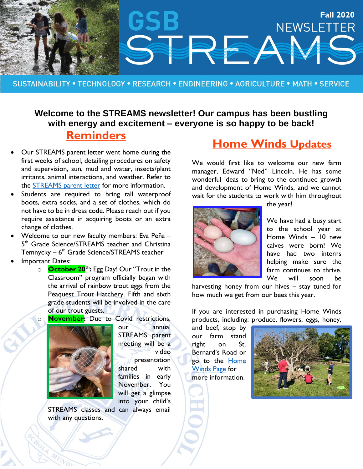

SUSTAINABILITY . TECHNOLOGY . RESEARCH . ENGINEERING . AGRICULTURE . MATH . SERVICE

#### **Welcome to the STREAMS newsletter! Our campus has been bustling with energy and excitement – everyone is so happy to be back! Reminders**

- Our STREAMS parent letter went home during the first weeks of school, detailing procedures on safety and supervision, sun, mud and water, insects/plant irritants, animal interactions, and weather. Refer to the [STREAMS parent letter](https://gsbschool.myschoolapp.com/ftpimages/570/download/download_4393135.pdf) for more information.
- Students are required to bring tall waterproof boots, extra socks, and a set of clothes, which do not have to be in dress code. Please reach out if you require assistance in acquiring boots or an extra change of clothes.
- Welcome to our new faculty members: Eva Peña 5<sup>th</sup> Grade Science/STREAMS teacher and Christina Temnycky – 6<sup>th</sup> Grade Science/STREAMS teacher
- Important Dates:
	- o **October 20 th:** Egg Day! Our "Trout in the Classroom" program officially began with the arrival of rainbow trout eggs from the Peaquest Trout Hatchery. Fifth and sixth grade students will be involved in the care of our trout guests.
	- **November:** Due to Covid restrictions,



our annual STREAMS parent meeting will be a video presentation shared with families in early November. You will get a glimpse into your child's

STREAMS classes and can always email with any questions.

# **Home Winds Updates**

We would first like to welcome our new farm manager, Edward "Ned" Lincoln. He has some wonderful ideas to bring to the continued growth and development of Home Winds, and we cannot wait for the students to work with him throughout



the year!

We have had a busy start to the school year at Home Winds – 10 new calves were born! We have had two interns helping make sure the farm continues to thrive. We will soon be

harvesting honey from our hives – stay tuned for how much we get from our bees this year.

If you are interested in purchasing Home Winds products, including: produce, flowers, eggs, honey,

and beef, stop by our farm stand right on St. Bernard's Road or go to the Home [Winds Page](https://www.gsbschool.org/about/home-winds-farm) for more information.